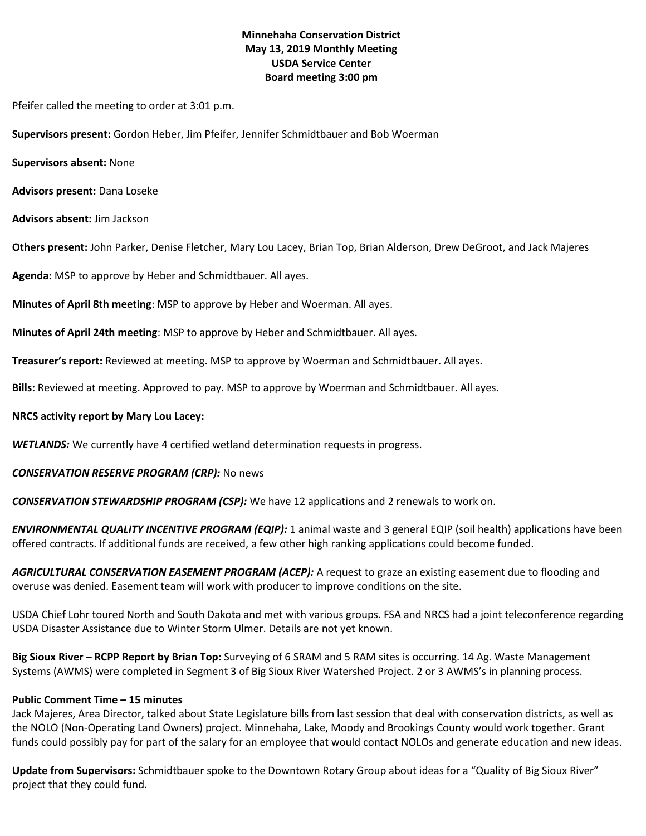### **Minnehaha Conservation District May 13, 2019 Monthly Meeting USDA Service Center Board meeting 3:00 pm**

Pfeifer called the meeting to order at 3:01 p.m.

**Supervisors present:** Gordon Heber, Jim Pfeifer, Jennifer Schmidtbauer and Bob Woerman

**Supervisors absent:** None

**Advisors present:** Dana Loseke

**Advisors absent:** Jim Jackson

**Others present:** John Parker, Denise Fletcher, Mary Lou Lacey, Brian Top, Brian Alderson, Drew DeGroot, and Jack Majeres

**Agenda:** MSP to approve by Heber and Schmidtbauer. All ayes.

**Minutes of April 8th meeting**: MSP to approve by Heber and Woerman. All ayes.

**Minutes of April 24th meeting**: MSP to approve by Heber and Schmidtbauer. All ayes.

**Treasurer's report:** Reviewed at meeting. MSP to approve by Woerman and Schmidtbauer. All ayes.

**Bills:** Reviewed at meeting. Approved to pay. MSP to approve by Woerman and Schmidtbauer. All ayes.

### **NRCS activity report by Mary Lou Lacey:**

*WETLANDS:* We currently have 4 certified wetland determination requests in progress.

### *CONSERVATION RESERVE PROGRAM (CRP):* No news

*CONSERVATION STEWARDSHIP PROGRAM (CSP):* We have 12 applications and 2 renewals to work on.

*ENVIRONMENTAL QUALITY INCENTIVE PROGRAM (EQIP):* 1 animal waste and 3 general EQIP (soil health) applications have been offered contracts. If additional funds are received, a few other high ranking applications could become funded.

*AGRICULTURAL CONSERVATION EASEMENT PROGRAM (ACEP):* A request to graze an existing easement due to flooding and overuse was denied. Easement team will work with producer to improve conditions on the site.

USDA Chief Lohr toured North and South Dakota and met with various groups. FSA and NRCS had a joint teleconference regarding USDA Disaster Assistance due to Winter Storm Ulmer. Details are not yet known.

**Big Sioux River – RCPP Report by Brian Top:** Surveying of 6 SRAM and 5 RAM sites is occurring. 14 Ag. Waste Management Systems (AWMS) were completed in Segment 3 of Big Sioux River Watershed Project. 2 or 3 AWMS's in planning process.

### **Public Comment Time – 15 minutes**

Jack Majeres, Area Director, talked about State Legislature bills from last session that deal with conservation districts, as well as the NOLO (Non-Operating Land Owners) project. Minnehaha, Lake, Moody and Brookings County would work together. Grant funds could possibly pay for part of the salary for an employee that would contact NOLOs and generate education and new ideas.

**Update from Supervisors:** Schmidtbauer spoke to the Downtown Rotary Group about ideas for a "Quality of Big Sioux River" project that they could fund.